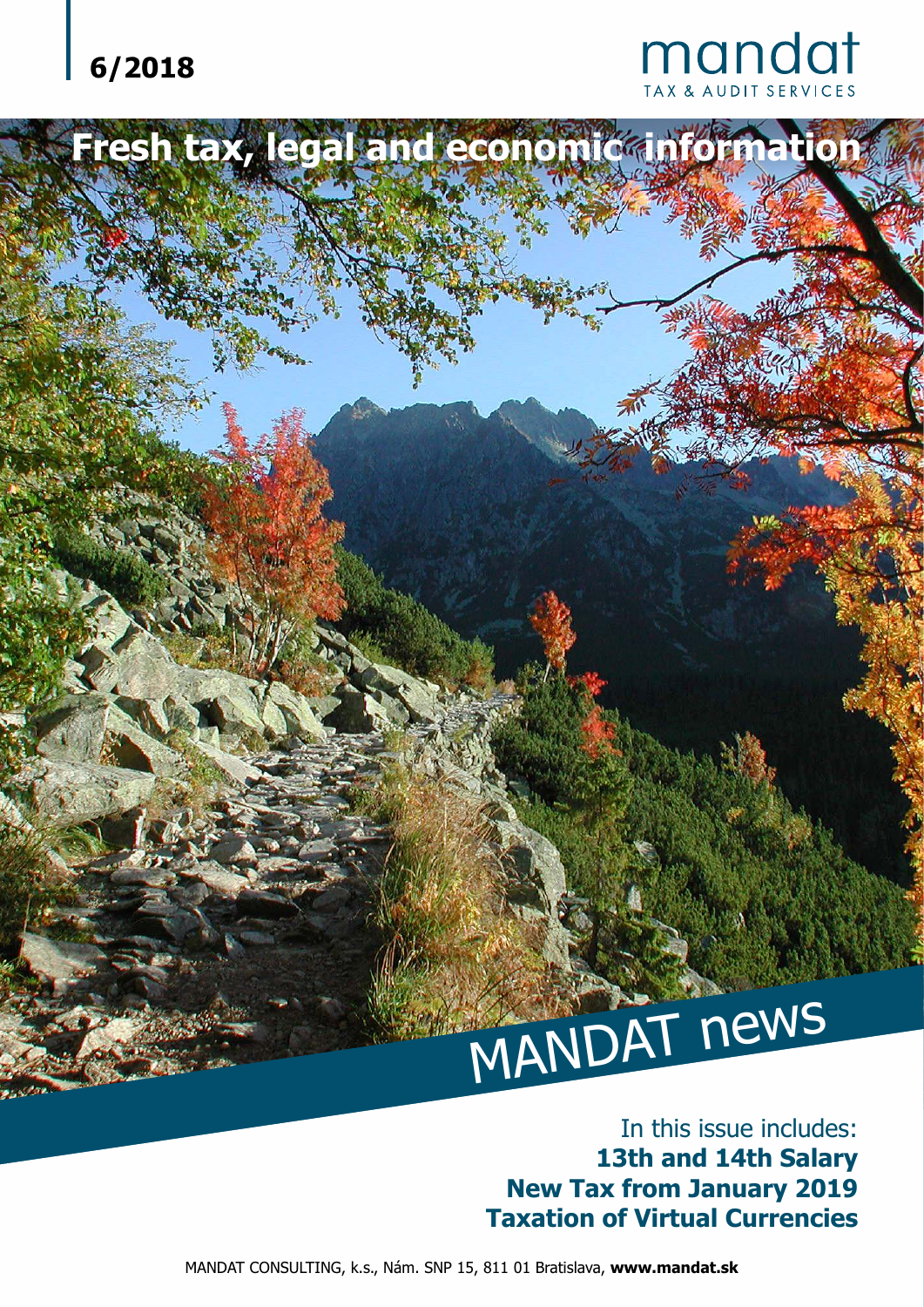## **6/2018**



# MANDAT news

#### In this issue includes: **13th and 14th Salary New Tax from January 2019 Taxation of Virtual Currencies**

MANDAT CONSULTING, k.s., Nám. SNP 15, 811 01 Bratislava, **www.mandat.sk**

Fresh tax, legal and economic information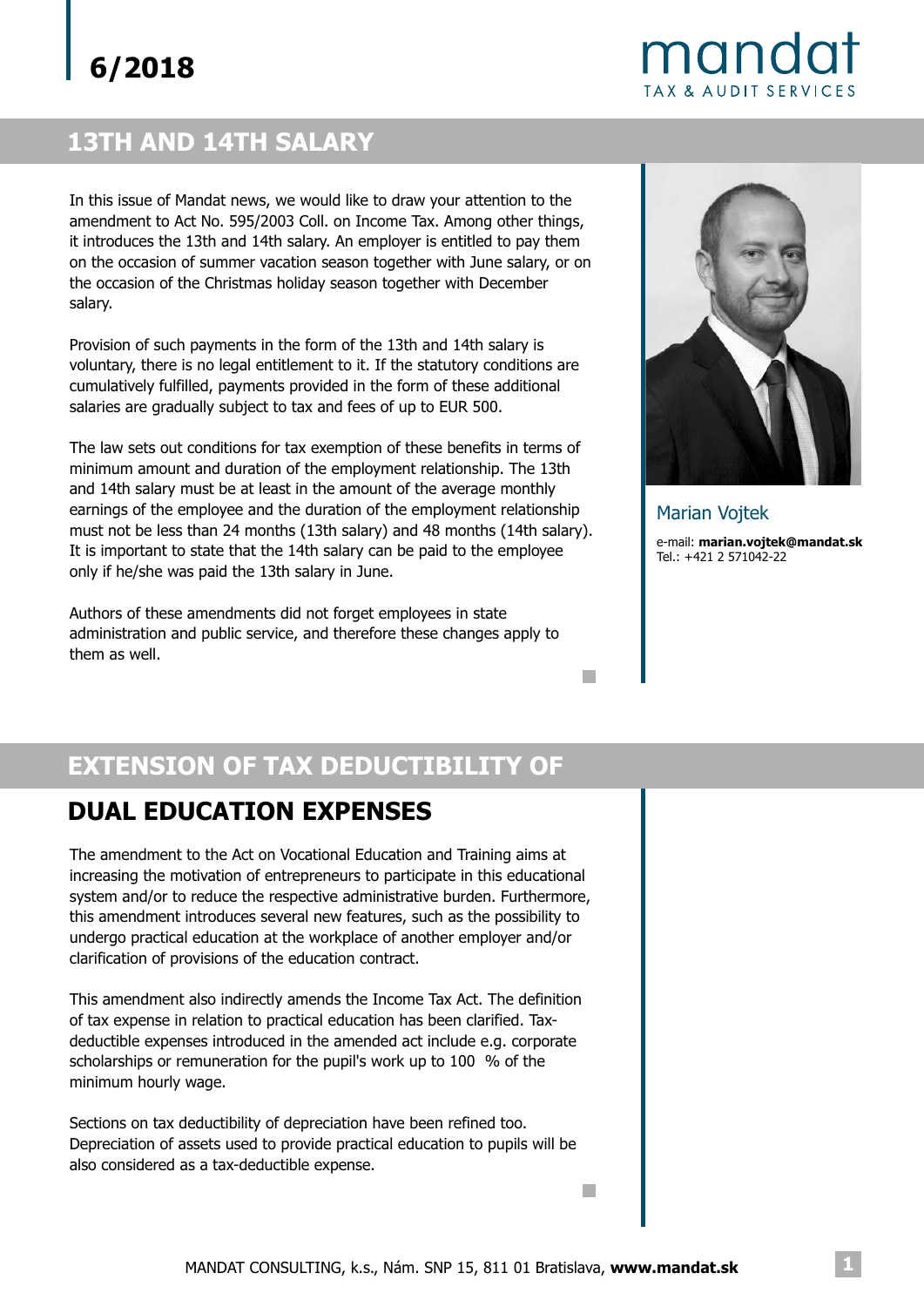## mandat **TAX & AUDIT SERVICES**

## **13TH AND 14TH SALARY**

In this issue of Mandat news, we would like to draw your attention to the amendment to Act No. 595/2003 Coll. on Income Tax. Among other things, it introduces the 13th and 14th salary. An employer is entitled to pay them on the occasion of summer vacation season together with June salary, or on the occasion of the Christmas holiday season together with December salary.

Provision of such payments in the form of the 13th and 14th salary is voluntary, there is no legal entitlement to it. If the statutory conditions are cumulatively fulfilled, payments provided in the form of these additional salaries are gradually subject to tax and fees of up to EUR 500.

The law sets out conditions for tax exemption of these benefits in terms of minimum amount and duration of the employment relationship. The 13th and 14th salary must be at least in the amount of the average monthly earnings of the employee and the duration of the employment relationship must not be less than 24 months (13th salary) and 48 months (14th salary). It is important to state that the 14th salary can be paid to the employee only if he/she was paid the 13th salary in June.

Authors of these amendments did not forget employees in state administration and public service, and therefore these changes apply to them as well.



e-mail: **marian.vojtek@mandat.sk** Tel.: +421 2 571042-22 Marian Vojtek

П

п

## **EXTENSION OF TAX DEDUCTIBILITY OF**

#### **DUAL EDUCATION EXPENSES**

The amendment to the Act on Vocational Education and Training aims at increasing the motivation of entrepreneurs to participate in this educational system and/or to reduce the respective administrative burden. Furthermore, this amendment introduces several new features, such as the possibility to undergo practical education at the workplace of another employer and/or clarification of provisions of the education contract.

This amendment also indirectly amends the Income Tax Act. The definition of tax expense in relation to practical education has been clarified. Taxdeductible expenses introduced in the amended act include e.g. corporate scholarships or remuneration for the pupil's work up to 100 % of the minimum hourly wage.

Sections on tax deductibility of depreciation have been refined too. Depreciation of assets used to provide practical education to pupils will be also considered as a tax-deductible expense.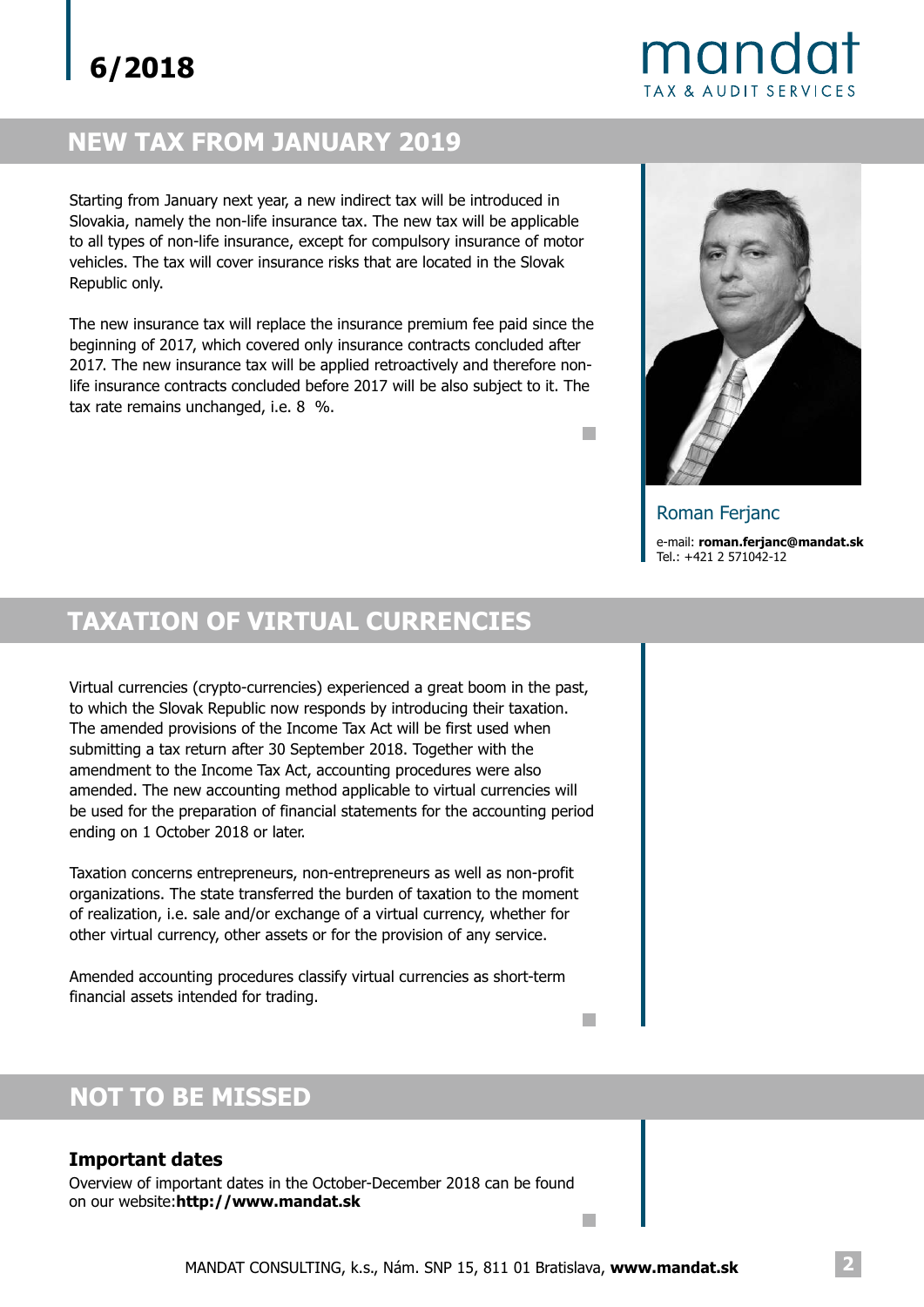## mandat **TAX & AUDIT SERVICES**

## **NEW TAX FROM JANUARY 2019**

Starting from January next year, a new indirect tax will be introduced in Slovakia, namely the non-life insurance tax. The new tax will be applicable to all types of non-life insurance, except for compulsory insurance of motor vehicles. The tax will cover insurance risks that are located in the Slovak Republic only.

The new insurance tax will replace the insurance premium fee paid since the beginning of 2017, which covered only insurance contracts concluded after 2017. The new insurance tax will be applied retroactively and therefore nonlife insurance contracts concluded before 2017 will be also subject to it. The tax rate remains unchanged, i.e. 8 %.



 $\overline{\phantom{a}}$ 

п

 $\overline{\phantom{a}}$ 

e-mail: **roman.ferjanc@mandat.sk** Tel.: +421 2 571042-12 Roman Ferjanc

## **TAXATION OF VIRTUAL CURRENCIES**

Virtual currencies (crypto-currencies) experienced a great boom in the past, to which the Slovak Republic now responds by introducing their taxation. The amended provisions of the Income Tax Act will be first used when submitting a tax return after 30 September 2018. Together with the amendment to the Income Tax Act, accounting procedures were also amended. The new accounting method applicable to virtual currencies will be used for the preparation of financial statements for the accounting period ending on 1 October 2018 or later.

Taxation concerns entrepreneurs, non-entrepreneurs as well as non-profit organizations. The state transferred the burden of taxation to the moment of realization, i.e. sale and/or exchange of a virtual currency, whether for other virtual currency, other assets or for the provision of any service.

Amended accounting procedures classify virtual currencies as short-term financial assets intended for trading.

## **NOT TO BE MISSED**

#### **Important dates**

Overview of important dates in the October-December 2018 can be found on our website:**http://www.mandat.sk**